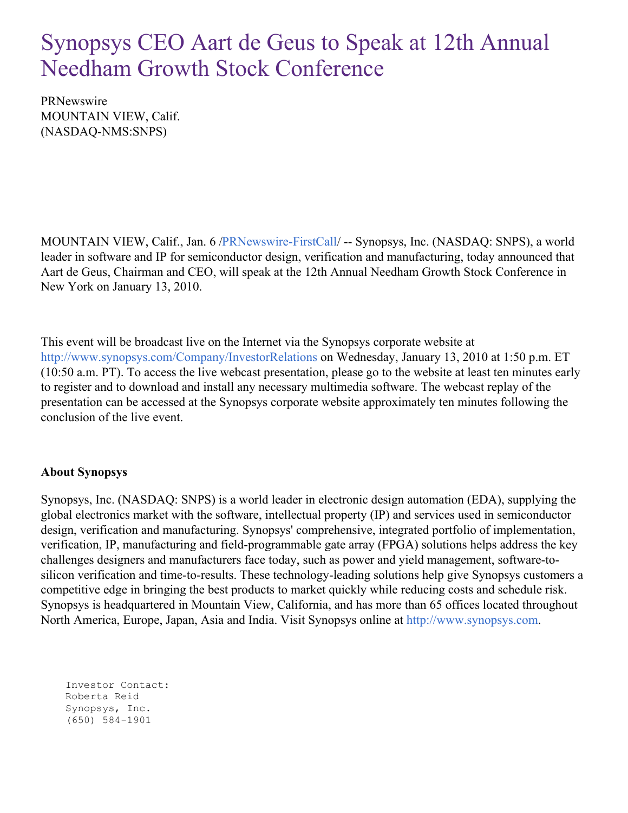## Synopsys CEO Aart de Geus to Speak at 12th Annual Needham Growth Stock Conference

PRNewswire MOUNTAIN VIEW, Calif. (NASDAQ-NMS:SNPS)

MOUNTAIN VIEW, Calif., Jan. 6 [/PRNewswire-FirstCall](http://www.prnewswire.com/)/ -- Synopsys, Inc. (NASDAQ: SNPS), a world leader in software and IP for semiconductor design, verification and manufacturing, today announced that Aart de Geus, Chairman and CEO, will speak at the 12th Annual Needham Growth Stock Conference in New York on January 13, 2010.

This event will be broadcast live on the Internet via the Synopsys corporate website at <http://www.synopsys.com/Company/InvestorRelations> on Wednesday, January 13, 2010 at 1:50 p.m. ET (10:50 a.m. PT). To access the live webcast presentation, please go to the website at least ten minutes early to register and to download and install any necessary multimedia software. The webcast replay of the presentation can be accessed at the Synopsys corporate website approximately ten minutes following the conclusion of the live event.

## **About Synopsys**

Synopsys, Inc. (NASDAQ: SNPS) is a world leader in electronic design automation (EDA), supplying the global electronics market with the software, intellectual property (IP) and services used in semiconductor design, verification and manufacturing. Synopsys' comprehensive, integrated portfolio of implementation, verification, IP, manufacturing and field-programmable gate array (FPGA) solutions helps address the key challenges designers and manufacturers face today, such as power and yield management, software-tosilicon verification and time-to-results. These technology-leading solutions help give Synopsys customers a competitive edge in bringing the best products to market quickly while reducing costs and schedule risk. Synopsys is headquartered in Mountain View, California, and has more than 65 offices located throughout North America, Europe, Japan, Asia and India. Visit Synopsys online at [http://www.synopsys.com](http://www.synopsys.com/).

Investor Contact: Roberta Reid Synopsys, Inc. (650) 584-1901